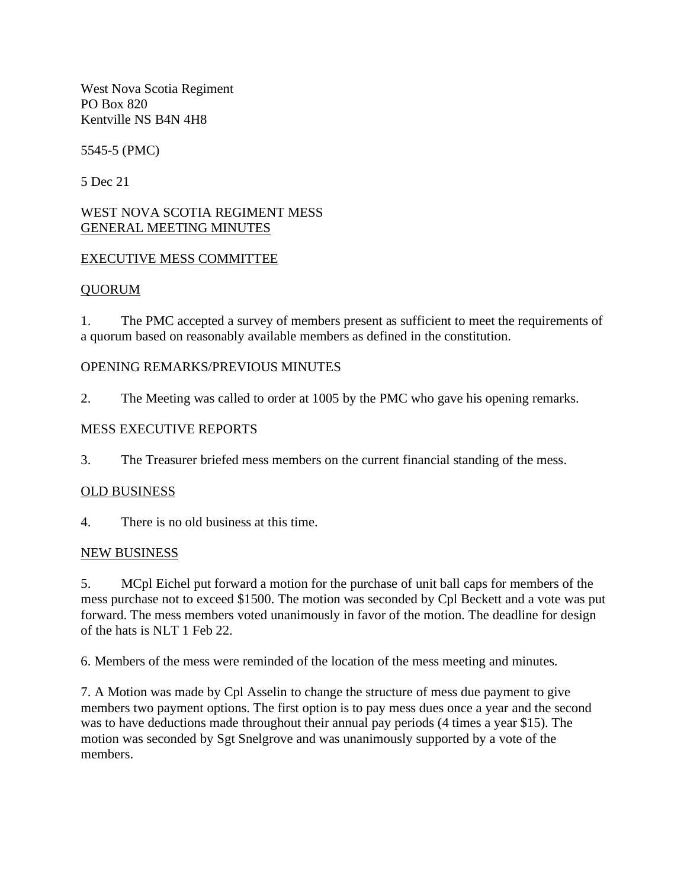West Nova Scotia Regiment PO Box 820 Kentville NS B4N 4H8

5545-5 (PMC)

5 Dec 21

#### WEST NOVA SCOTIA REGIMENT MESS GENERAL MEETING MINUTES

### EXECUTIVE MESS COMMITTEE

#### QUORUM

1. The PMC accepted a survey of members present as sufficient to meet the requirements of a quorum based on reasonably available members as defined in the constitution.

### OPENING REMARKS/PREVIOUS MINUTES

2. The Meeting was called to order at 1005 by the PMC who gave his opening remarks.

### MESS EXECUTIVE REPORTS

3. The Treasurer briefed mess members on the current financial standing of the mess.

## OLD BUSINESS

4. There is no old business at this time.

#### NEW BUSINESS

5. MCpl Eichel put forward a motion for the purchase of unit ball caps for members of the mess purchase not to exceed \$1500. The motion was seconded by Cpl Beckett and a vote was put forward. The mess members voted unanimously in favor of the motion. The deadline for design of the hats is NLT 1 Feb 22.

6. Members of the mess were reminded of the location of the mess meeting and minutes.

7. A Motion was made by Cpl Asselin to change the structure of mess due payment to give members two payment options. The first option is to pay mess dues once a year and the second was to have deductions made throughout their annual pay periods (4 times a year \$15). The motion was seconded by Sgt Snelgrove and was unanimously supported by a vote of the members.